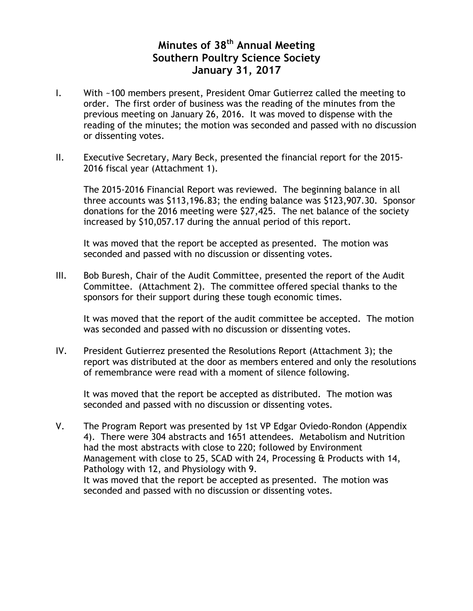#### **Minutes of 38th Annual Meeting Southern Poultry Science Society January 31, 2017**

- I. With ~100 members present, President Omar Gutierrez called the meeting to order. The first order of business was the reading of the minutes from the previous meeting on January 26, 2016. It was moved to dispense with the reading of the minutes; the motion was seconded and passed with no discussion or dissenting votes.
- II. Executive Secretary, Mary Beck, presented the financial report for the 2015- 2016 fiscal year (Attachment 1).

The 2015-2016 Financial Report was reviewed. The beginning balance in all three accounts was \$113,196.83; the ending balance was \$123,907.30. Sponsor donations for the 2016 meeting were \$27,425. The net balance of the society increased by \$10,057.17 during the annual period of this report.

It was moved that the report be accepted as presented. The motion was seconded and passed with no discussion or dissenting votes.

III. Bob Buresh, Chair of the Audit Committee, presented the report of the Audit Committee. (Attachment 2). The committee offered special thanks to the sponsors for their support during these tough economic times.

It was moved that the report of the audit committee be accepted. The motion was seconded and passed with no discussion or dissenting votes.

IV. President Gutierrez presented the Resolutions Report (Attachment 3); the report was distributed at the door as members entered and only the resolutions of remembrance were read with a moment of silence following.

It was moved that the report be accepted as distributed. The motion was seconded and passed with no discussion or dissenting votes.

V. The Program Report was presented by 1st VP Edgar Oviedo-Rondon (Appendix 4). There were 304 abstracts and 1651 attendees. Metabolism and Nutrition had the most abstracts with close to 220; followed by Environment Management with close to 25, SCAD with 24, Processing & Products with 14, Pathology with 12, and Physiology with 9. It was moved that the report be accepted as presented. The motion was seconded and passed with no discussion or dissenting votes.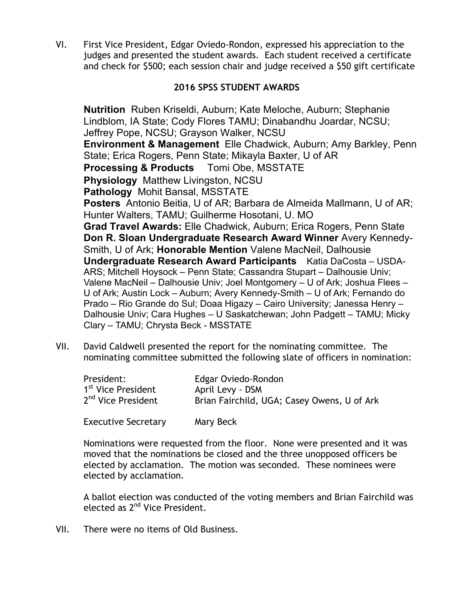VI. First Vice President, Edgar Oviedo-Rondon, expressed his appreciation to the judges and presented the student awards. Each student received a certificate and check for \$500; each session chair and judge received a \$50 gift certificate

#### **2016 SPSS STUDENT AWARDS**

**Nutrition** Ruben Kriseldi, Auburn; Kate Meloche, Auburn; Stephanie Lindblom, IA State; Cody Flores TAMU; Dinabandhu Joardar, NCSU; Jeffrey Pope, NCSU; Grayson Walker, NCSU **Environment & Management** Elle Chadwick, Auburn; Amy Barkley, Penn State; Erica Rogers, Penn State; Mikayla Baxter, U of AR **Processing & Products** Tomi Obe, MSSTATE **Physiology** Matthew Livingston, NCSU **Pathology** Mohit Bansal, MSSTATE **Posters** Antonio Beitia, U of AR; Barbara de Almeida Mallmann, U of AR; Hunter Walters, TAMU; Guilherme Hosotani, U. MO **Grad Travel Awards:** Elle Chadwick, Auburn; Erica Rogers, Penn State **Don R. Sloan Undergraduate Research Award Winner** Avery Kennedy-Smith, U of Ark; **Honorable Mention** Valene MacNeil, Dalhousie **Undergraduate Research Award Participants** Katia DaCosta – USDA-ARS; Mitchell Hoysock – Penn State; Cassandra Stupart – Dalhousie Univ; Valene MacNeil – Dalhousie Univ; Joel Montgomery – U of Ark; Joshua Flees – U of Ark; Austin Lock – Auburn; Avery Kennedy-Smith – U of Ark; Fernando do Prado – Rio Grande do Sul; Doaa Higazy – Cairo University; Janessa Henry – Dalhousie Univ; Cara Hughes – U Saskatchewan; John Padgett – TAMU; Micky Clary – TAMU; Chrysta Beck - MSSTATE

VII. David Caldwell presented the report for the nominating committee. The nominating committee submitted the following slate of officers in nomination:

| President:                     | Edgar Oviedo-Rondon                         |
|--------------------------------|---------------------------------------------|
| 1 <sup>st</sup> Vice President | April Levy - DSM                            |
| 2 <sup>nd</sup> Vice President | Brian Fairchild, UGA; Casey Owens, U of Ark |

Executive Secretary Mary Beck

Nominations were requested from the floor. None were presented and it was moved that the nominations be closed and the three unopposed officers be elected by acclamation. The motion was seconded. These nominees were elected by acclamation.

A ballot election was conducted of the voting members and Brian Fairchild was elected as 2<sup>nd</sup> Vice President.

VII. There were no items of Old Business.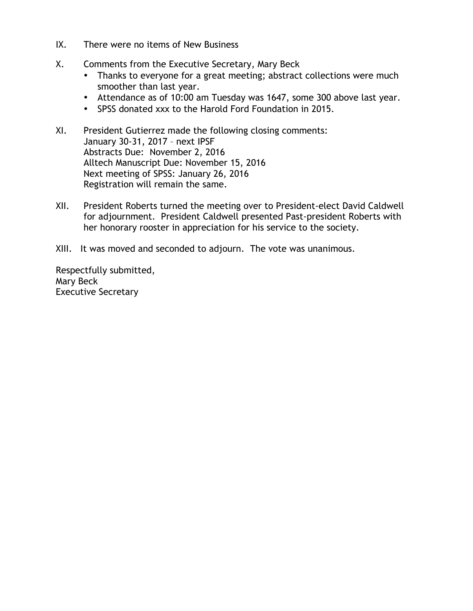- IX. There were no items of New Business
- X. Comments from the Executive Secretary, Mary Beck
	- Thanks to everyone for a great meeting; abstract collections were much smoother than last year.
	- Attendance as of 10:00 am Tuesday was 1647, some 300 above last year.
	- SPSS donated xxx to the Harold Ford Foundation in 2015.
- XI. President Gutierrez made the following closing comments: January 30-31, 2017 – next IPSF Abstracts Due: November 2, 2016 Alltech Manuscript Due: November 15, 2016 Next meeting of SPSS: January 26, 2016 Registration will remain the same.
- XII. President Roberts turned the meeting over to President-elect David Caldwell for adjournment. President Caldwell presented Past-president Roberts with her honorary rooster in appreciation for his service to the society.
- XIII. It was moved and seconded to adjourn. The vote was unanimous.

Respectfully submitted, Mary Beck Executive Secretary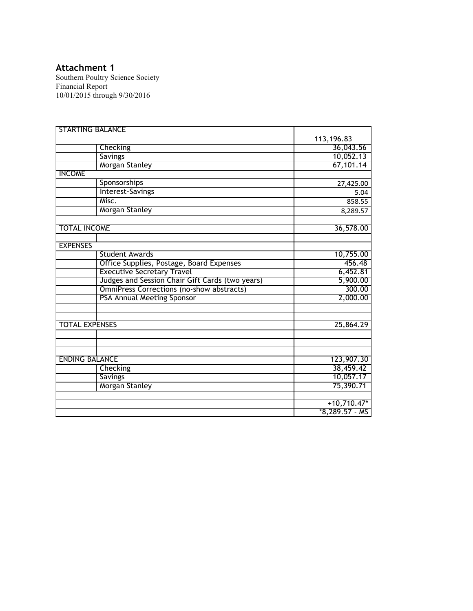#### **Attachment 1**

Southern Poultry Science Society Financial Report 10/01/2015 through 9/30/2016

| <b>STARTING BALANCE</b>                          |                  |
|--------------------------------------------------|------------------|
|                                                  | 113,196.83       |
| Checking                                         | 36,043.56        |
| <b>Savings</b>                                   | 10,052.13        |
| Morgan Stanley                                   | 67,101.14        |
| <b>INCOME</b>                                    |                  |
| Sponsorships                                     | 27,425.00        |
| Interest-Savings                                 | 5.04             |
| Misc.                                            | 858.55           |
| Morgan Stanley                                   | 8,289.57         |
| <b>TOTAL INCOME</b>                              | 36,578.00        |
| <b>EXPENSES</b>                                  |                  |
| <b>Student Awards</b>                            | 10,755.00        |
| Office Supplies, Postage, Board Expenses         | 456.48           |
| <b>Executive Secretary Travel</b>                | 6,452.81         |
| Judges and Session Chair Gift Cards (two years)  | 5,900.00         |
| <b>OmniPress Corrections (no-show abstracts)</b> | 300.00           |
| PSA Annual Meeting Sponsor                       | 2,000.00         |
|                                                  |                  |
| <b>TOTAL EXPENSES</b>                            | 25,864.29        |
|                                                  |                  |
| <b>ENDING BALANCE</b>                            | 123,907.30       |
| Checking                                         | 38,459.42        |
| Savings                                          | 10,057.17        |
| <b>Morgan Stanley</b>                            | 75,390.71        |
|                                                  | $+10,710.47*$    |
|                                                  | $*8,289.57 - MS$ |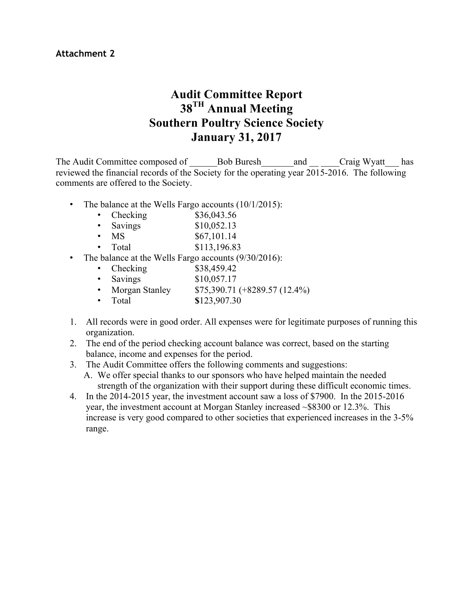## **Audit Committee Report 38TH Annual Meeting Southern Poultry Science Society January 31, 2017**

The Audit Committee composed of a Bob Buresh and Craig Wyatt has reviewed the financial records of the Society for the operating year 2015-2016. The following comments are offered to the Society.

- The balance at the Wells Fargo accounts (10/1/2015):
	- Checking  $$36,043.56$
	- Savings  $$10,052.13$
	- $MS$  \$67,101.14
	- Total \$113,196.83
- The balance at the Wells Fargo accounts (9/30/2016):
	- Checking  $$38,459.42$
	- Savings  $$10,057.17$
	- Morgan Stanley \$75,390.71 (+8289.57 (12.4%)
	- Total **\$**123,907.30
- 1. All records were in good order. All expenses were for legitimate purposes of running this organization.
- 2. The end of the period checking account balance was correct, based on the starting balance, income and expenses for the period.
- 3. The Audit Committee offers the following comments and suggestions:
	- A. We offer special thanks to our sponsors who have helped maintain the needed strength of the organization with their support during these difficult economic times.
- 4. In the 2014-2015 year, the investment account saw a loss of \$7900. In the 2015-2016 year, the investment account at Morgan Stanley increased ~\$8300 or 12.3%. This increase is very good compared to other societies that experienced increases in the 3-5% range.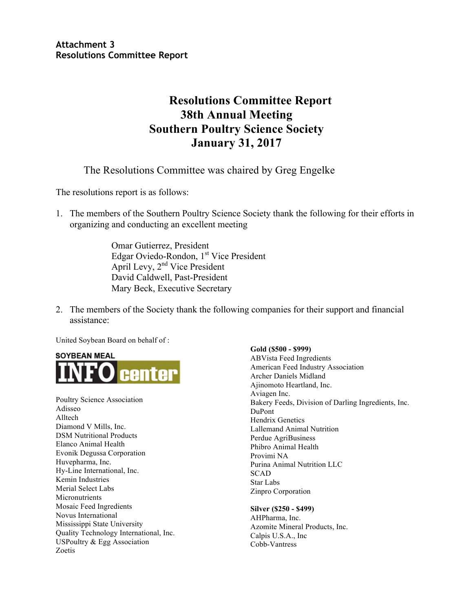**Attachment 3 Resolutions Committee Report**

### **Resolutions Committee Report 38th Annual Meeting Southern Poultry Science Society January 31, 2017**

The Resolutions Committee was chaired by Greg Engelke

The resolutions report is as follows:

1. The members of the Southern Poultry Science Society thank the following for their efforts in organizing and conducting an excellent meeting

> Omar Gutierrez, President Edgar Oviedo-Rondon, 1<sup>st</sup> Vice President April Levy, 2<sup>nd</sup> Vice President David Caldwell, Past-President Mary Beck, Executive Secretary

2. The members of the Society thank the following companies for their support and financial assistance:

United Soybean Board on behalf of :



Poultry Science Association Adisseo Alltech Diamond V Mills, Inc. DSM Nutritional Products Elanco Animal Health Evonik Degussa Corporation Huvepharma, Inc. Hy-Line International, Inc. Kemin Industries Merial Select Labs Micronutrients Mosaic Feed Ingredients Novus International Mississippi State University Quality Technology International, Inc. USPoultry & Egg Association Zoetis

**Gold (\$500 - \$999)** ABVista Feed Ingredients American Feed Industry Association Archer Daniels Midland Ajinomoto Heartland, Inc. Aviagen Inc. Bakery Feeds, Division of Darling Ingredients, Inc. DuPont Hendrix Genetics Lallemand Animal Nutrition Perdue AgriBusiness Phibro Animal Health Provimi NA Purina Animal Nutrition LLC SCAD Star Labs Zinpro Corporation

**Silver (\$250 - \$499)**

AHPharma, Inc. Azomite Mineral Products, Inc. Calpis U.S.A., Inc Cobb-Vantress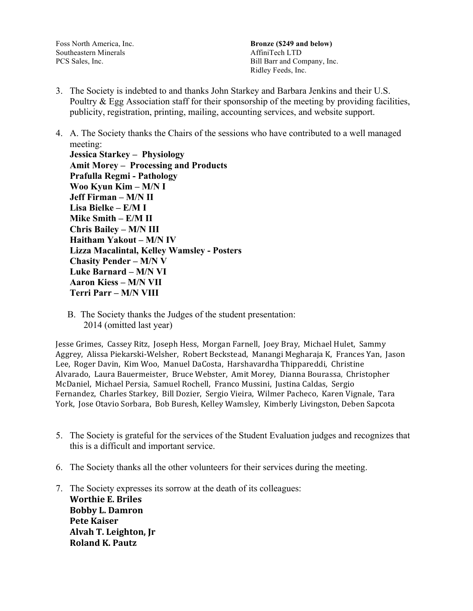Foss North America, Inc. Southeastern Minerals PCS Sales, Inc.

**Bronze (\$249 and below)** AffiniTech LTD Bill Barr and Company, Inc. Ridley Feeds, Inc.

- 3. The Society is indebted to and thanks John Starkey and Barbara Jenkins and their U.S. Poultry  $&$  Egg Association staff for their sponsorship of the meeting by providing facilities, publicity, registration, printing, mailing, accounting services, and website support.
- 4. A. The Society thanks the Chairs of the sessions who have contributed to a well managed meeting:

**Jessica Starkey – Physiology Amit Morey – Processing and Products Prafulla Regmi - Pathology Woo Kyun Kim – M/N I Jeff Firman – M/N II Lisa Bielke – E/M I Mike Smith – E/M II Chris Bailey – M/N III Haitham Yakout – M/N IV Lizza Macalintal, Kelley Wamsley - Posters Chasity Pender – M/N V Luke Barnard – M/N VI Aaron Kiess – M/N VII Terri Parr – M/N VIII**

 B. The Society thanks the Judges of the student presentation: 2014 (omitted last year)

Jesse Grimes, Cassey Ritz, Joseph Hess, Morgan Farnell, Joey Bray, Michael Hulet, Sammy Aggrey, Alissa Piekarski-Welsher, Robert Beckstead, Manangi Megharaja K, Frances Yan, Jason Lee, Roger Davin, Kim Woo, Manuel DaCosta, Harshavardha Thippareddi, Christine Alvarado, Laura Bauermeister, Bruce Webster, Amit Morey, Dianna Bourassa, Christopher McDaniel, Michael Persia, Samuel Rochell, Franco Mussini, Justina Caldas, Sergio Fernandez, Charles Starkey, Bill Dozier, Sergio Vieira, Wilmer Pacheco, Karen Vignale, Tara York, Jose Otavio Sorbara, Bob Buresh, Kelley Wamsley, Kimberly Livingston, Deben Sapcota

- 5. The Society is grateful for the services of the Student Evaluation judges and recognizes that this is a difficult and important service.
- 6. The Society thanks all the other volunteers for their services during the meeting.
- 7. The Society expresses its sorrow at the death of its colleagues: **Worthie E. Briles Bobby L. Damron Pete Kaiser Alvah T. Leighton, Jr Roland K. Pautz**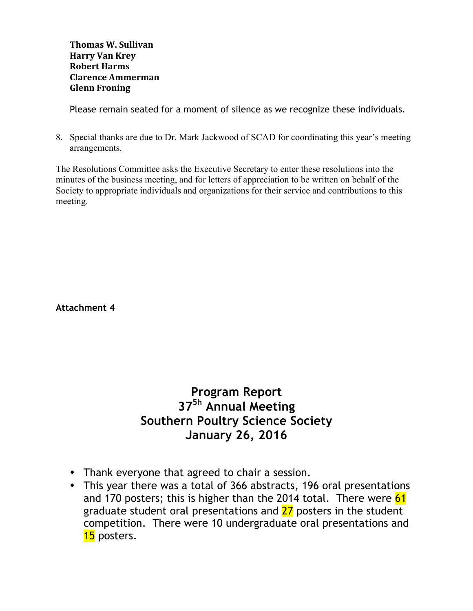**Thomas W. Sullivan Harry Van Krey Robert Harms Clarence Ammerman Glenn Froning**

Please remain seated for a moment of silence as we recognize these individuals.

8. Special thanks are due to Dr. Mark Jackwood of SCAD for coordinating this year's meeting arrangements.

The Resolutions Committee asks the Executive Secretary to enter these resolutions into the minutes of the business meeting, and for letters of appreciation to be written on behalf of the Society to appropriate individuals and organizations for their service and contributions to this meeting.

**Attachment 4**

# **Program Report 375h Annual Meeting Southern Poultry Science Society January 26, 2016**

- Thank everyone that agreed to chair a session.
- This year there was a total of 366 abstracts, 196 oral presentations and 170 posters; this is higher than the 2014 total. There were 61 graduate student oral presentations and 27 posters in the student competition. There were 10 undergraduate oral presentations and 15 posters.